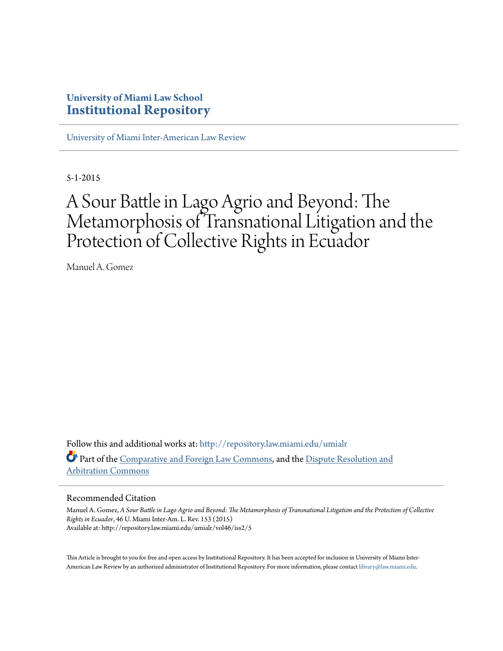## **University of Miami Law School [Institutional Repository](http://repository.law.miami.edu?utm_source=repository.law.miami.edu%2Fumialr%2Fvol46%2Fiss2%2F5&utm_medium=PDF&utm_campaign=PDFCoverPages)**

[University of Miami Inter-American Law Review](http://repository.law.miami.edu/umialr?utm_source=repository.law.miami.edu%2Fumialr%2Fvol46%2Fiss2%2F5&utm_medium=PDF&utm_campaign=PDFCoverPages)

5-1-2015

# A Sour Battle in Lago Agrio and Beyond: The Metamorphosis of Transnational Litigation and the Protection of Collective Rights in Ecuador

Manuel A. Gomez

Follow this and additional works at: [http://repository.law.miami.edu/umialr](http://repository.law.miami.edu/umialr?utm_source=repository.law.miami.edu%2Fumialr%2Fvol46%2Fiss2%2F5&utm_medium=PDF&utm_campaign=PDFCoverPages) Part of the [Comparative and Foreign Law Commons](http://network.bepress.com/hgg/discipline/836?utm_source=repository.law.miami.edu%2Fumialr%2Fvol46%2Fiss2%2F5&utm_medium=PDF&utm_campaign=PDFCoverPages), and the [Dispute Resolution and](http://network.bepress.com/hgg/discipline/890?utm_source=repository.law.miami.edu%2Fumialr%2Fvol46%2Fiss2%2F5&utm_medium=PDF&utm_campaign=PDFCoverPages) [Arbitration Commons](http://network.bepress.com/hgg/discipline/890?utm_source=repository.law.miami.edu%2Fumialr%2Fvol46%2Fiss2%2F5&utm_medium=PDF&utm_campaign=PDFCoverPages)

#### Recommended Citation

Manuel A. Gomez, *A Sour Battle in Lago Agrio and Beyond: The Metamorphosis of Transnational Litigation and the Protection of Collective Rights in Ecuador*, 46 U. Miami Inter-Am. L. Rev. 153 (2015) Available at: http://repository.law.miami.edu/umialr/vol46/iss2/5

This Article is brought to you for free and open access by Institutional Repository. It has been accepted for inclusion in University of Miami Inter-American Law Review by an authorized administrator of Institutional Repository. For more information, please contact [library@law.miami.edu](mailto:library@law.miami.edu).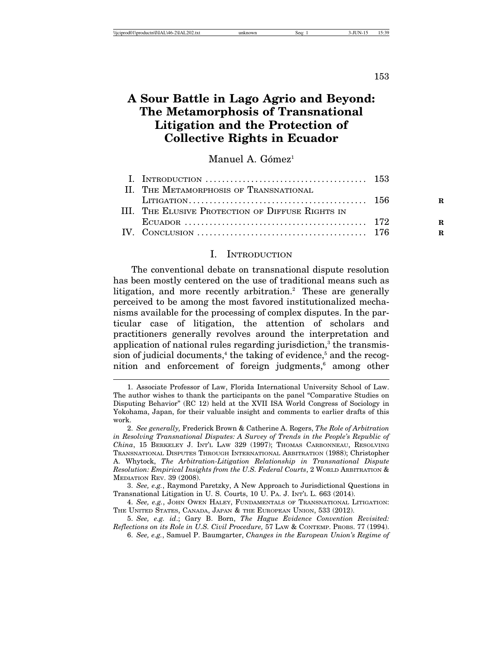153

## **A Sour Battle in Lago Agrio and Beyond: The Metamorphosis of Transnational Litigation and the Protection of Collective Rights in Ecuador**

#### Manuel A. Gómez<sup>1</sup>

| I. INTRODUCTION $\ldots \ldots \ldots \ldots \ldots \ldots \ldots \ldots \ldots \ldots \ldots \ldots \ldots$ 153 |   |
|------------------------------------------------------------------------------------------------------------------|---|
| II. THE METAMORPHOSIS OF TRANSNATIONAL                                                                           |   |
|                                                                                                                  | R |
| III. The Elusive Protection of Diffuse Rights in                                                                 |   |
|                                                                                                                  | R |
|                                                                                                                  | R |

#### I. INTRODUCTION

The conventional debate on transnational dispute resolution has been mostly centered on the use of traditional means such as litigation, and more recently arbitration.<sup>2</sup> These are generally perceived to be among the most favored institutionalized mechanisms available for the processing of complex disputes. In the particular case of litigation, the attention of scholars and practitioners generally revolves around the interpretation and application of national rules regarding jurisdiction,<sup>3</sup> the transmission of judicial documents,<sup>4</sup> the taking of evidence,<sup>5</sup> and the recognition and enforcement of foreign judgments,<sup>6</sup> among other

<sup>1.</sup> Associate Professor of Law, Florida International University School of Law. The author wishes to thank the participants on the panel "Comparative Studies on Disputing Behavior" (RC 12) held at the XVII ISA World Congress of Sociology in Yokohama, Japan, for their valuable insight and comments to earlier drafts of this work.

<sup>2.</sup> *See generally,* Frederick Brown & Catherine A. Rogers, *The Role of Arbitration in Resolving Transnational Disputes: A Survey of Trends in the People's Republic of China*, 15 BERKELEY J. INT'L LAW 329 (1997); THOMAS CARBONNEAU, RESOLVING TRANSNATIONAL DISPUTES THROUGH INTERNATIONAL ARBITRATION (1988); Christopher A. Whytock, *The Arbitration-Litigation Relationship in Transnational Dispute Resolution: Empirical Insights from the U.S. Federal Courts*, 2 WORLD ARBITRATION & MEDIATION REV. 39 (2008).

<sup>3.</sup> *See, e.g.*, Raymond Paretzky, A New Approach to Jurisdictional Questions in Transnational Litigation in U. S. Courts, 10 U. PA. J. INT'L L. 663 (2014).

<sup>4.</sup> *See, e.g.*, JOHN OWEN HALEY, FUNDAMENTALS OF TRANSNATIONAL LITIGATION: THE UNITED STATES, CANADA, JAPAN & THE EUROPEAN UNION, 533 (2012).

<sup>5.</sup> *See, e.g. id*.; Gary B. Born, *The Hague Evidence Convention Revisited: Reflections on its Role in U.S. Civil Procedure,* 57 LAW & CONTEMP. PROBS. 77 (1994).

<sup>6.</sup> *See, e.g.*, Samuel P. Baumgarter, *Changes in the European Union's Regime of*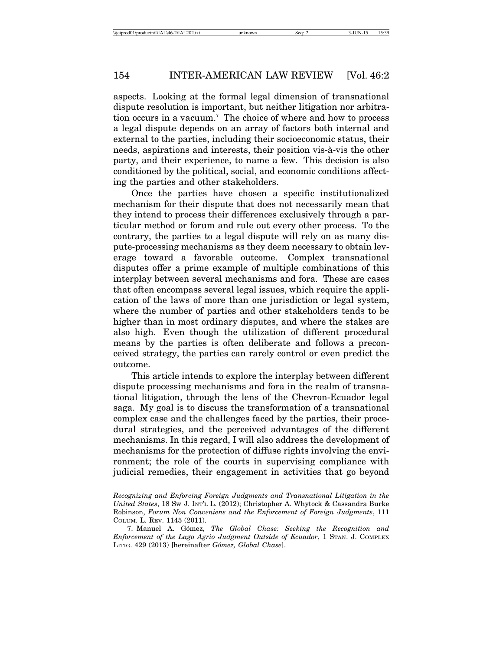aspects. Looking at the formal legal dimension of transnational dispute resolution is important, but neither litigation nor arbitration occurs in a vacuum.7 The choice of where and how to process a legal dispute depends on an array of factors both internal and external to the parties, including their socioeconomic status, their needs, aspirations and interests, their position vis-à-vis the other party, and their experience, to name a few. This decision is also conditioned by the political, social, and economic conditions affecting the parties and other stakeholders.

Once the parties have chosen a specific institutionalized mechanism for their dispute that does not necessarily mean that they intend to process their differences exclusively through a particular method or forum and rule out every other process. To the contrary, the parties to a legal dispute will rely on as many dispute-processing mechanisms as they deem necessary to obtain leverage toward a favorable outcome. Complex transnational disputes offer a prime example of multiple combinations of this interplay between several mechanisms and fora. These are cases that often encompass several legal issues, which require the application of the laws of more than one jurisdiction or legal system, where the number of parties and other stakeholders tends to be higher than in most ordinary disputes, and where the stakes are also high. Even though the utilization of different procedural means by the parties is often deliberate and follows a preconceived strategy, the parties can rarely control or even predict the outcome.

This article intends to explore the interplay between different dispute processing mechanisms and fora in the realm of transnational litigation, through the lens of the Chevron-Ecuador legal saga. My goal is to discuss the transformation of a transnational complex case and the challenges faced by the parties, their procedural strategies, and the perceived advantages of the different mechanisms. In this regard, I will also address the development of mechanisms for the protection of diffuse rights involving the environment; the role of the courts in supervising compliance with judicial remedies, their engagement in activities that go beyond

*Recognizing and Enforcing Foreign Judgments and Transnational Litigation in the United States*, 18 SW J. INT'L L. (2012); Christopher A. Whytock & Cassandra Burke Robinson, *Forum Non Conveniens and the Enforcement of Foreign Judgments*, 111 COLUM. L. REV. 1145 (2011).

<sup>7.</sup> Manuel A. G´omez, *The Global Chase: Seeking the Recognition and Enforcement of the Lago Agrio Judgment Outside of Ecuador*, 1 STAN. J. COMPLEX LITIG. 429 (2013) [hereinafter *G´omez, Global Chase*].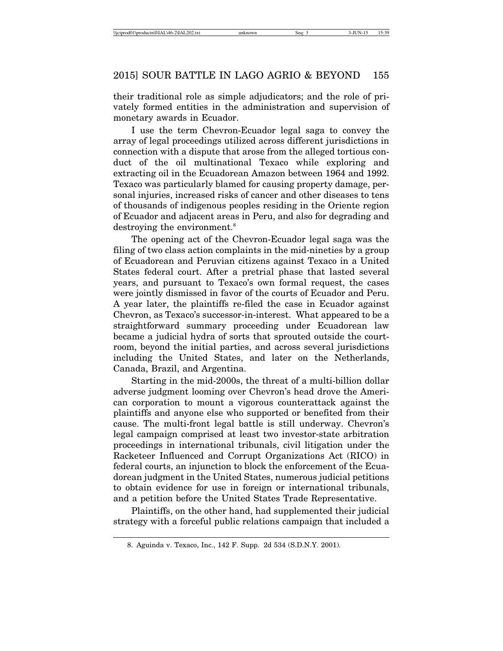their traditional role as simple adjudicators; and the role of privately formed entities in the administration and supervision of monetary awards in Ecuador.

I use the term Chevron-Ecuador legal saga to convey the array of legal proceedings utilized across different jurisdictions in connection with a dispute that arose from the alleged tortious conduct of the oil multinational Texaco while exploring and extracting oil in the Ecuadorean Amazon between 1964 and 1992. Texaco was particularly blamed for causing property damage, personal injuries, increased risks of cancer and other diseases to tens of thousands of indigenous peoples residing in the Oriente region of Ecuador and adjacent areas in Peru, and also for degrading and destroying the environment.<sup>8</sup>

The opening act of the Chevron-Ecuador legal saga was the filing of two class action complaints in the mid-nineties by a group of Ecuadorean and Peruvian citizens against Texaco in a United States federal court. After a pretrial phase that lasted several years, and pursuant to Texaco's own formal request, the cases were jointly dismissed in favor of the courts of Ecuador and Peru. A year later, the plaintiffs re-filed the case in Ecuador against Chevron, as Texaco's successor-in-interest. What appeared to be a straightforward summary proceeding under Ecuadorean law became a judicial hydra of sorts that sprouted outside the courtroom, beyond the initial parties, and across several jurisdictions including the United States, and later on the Netherlands, Canada, Brazil, and Argentina.

Starting in the mid-2000s, the threat of a multi-billion dollar adverse judgment looming over Chevron's head drove the American corporation to mount a vigorous counterattack against the plaintiffs and anyone else who supported or benefited from their cause. The multi-front legal battle is still underway. Chevron's legal campaign comprised at least two investor-state arbitration proceedings in international tribunals, civil litigation under the Racketeer Influenced and Corrupt Organizations Act (RICO) in federal courts, an injunction to block the enforcement of the Ecuadorean judgment in the United States, numerous judicial petitions to obtain evidence for use in foreign or international tribunals, and a petition before the United States Trade Representative.

Plaintiffs, on the other hand, had supplemented their judicial strategy with a forceful public relations campaign that included a

<sup>8.</sup> Aguinda v. Texaco, Inc., 142 F. Supp. 2d 534 (S.D.N.Y. 2001).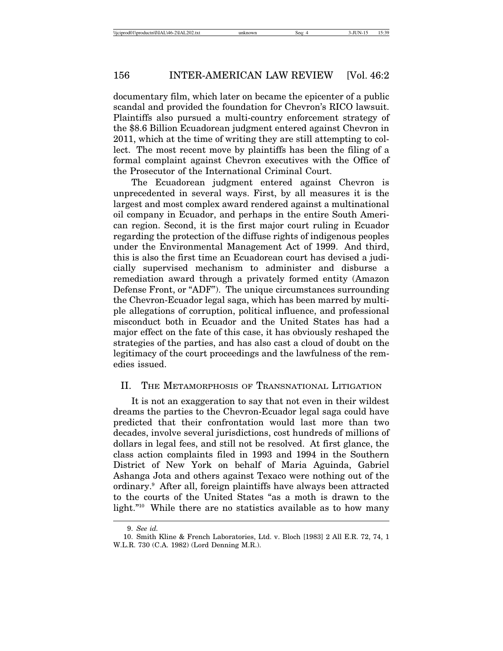documentary film, which later on became the epicenter of a public scandal and provided the foundation for Chevron's RICO lawsuit. Plaintiffs also pursued a multi-country enforcement strategy of the \$8.6 Billion Ecuadorean judgment entered against Chevron in 2011, which at the time of writing they are still attempting to collect. The most recent move by plaintiffs has been the filing of a formal complaint against Chevron executives with the Office of the Prosecutor of the International Criminal Court.

The Ecuadorean judgment entered against Chevron is unprecedented in several ways. First, by all measures it is the largest and most complex award rendered against a multinational oil company in Ecuador, and perhaps in the entire South American region. Second, it is the first major court ruling in Ecuador regarding the protection of the diffuse rights of indigenous peoples under the Environmental Management Act of 1999. And third, this is also the first time an Ecuadorean court has devised a judicially supervised mechanism to administer and disburse a remediation award through a privately formed entity (Amazon Defense Front, or "ADF"). The unique circumstances surrounding the Chevron-Ecuador legal saga, which has been marred by multiple allegations of corruption, political influence, and professional misconduct both in Ecuador and the United States has had a major effect on the fate of this case, it has obviously reshaped the strategies of the parties, and has also cast a cloud of doubt on the legitimacy of the court proceedings and the lawfulness of the remedies issued.

#### II. THE METAMORPHOSIS OF TRANSNATIONAL LITIGATION

It is not an exaggeration to say that not even in their wildest dreams the parties to the Chevron-Ecuador legal saga could have predicted that their confrontation would last more than two decades, involve several jurisdictions, cost hundreds of millions of dollars in legal fees, and still not be resolved. At first glance, the class action complaints filed in 1993 and 1994 in the Southern District of New York on behalf of Maria Aguinda, Gabriel Ashanga Jota and others against Texaco were nothing out of the ordinary.9 After all, foreign plaintiffs have always been attracted to the courts of the United States "as a moth is drawn to the light."<sup>10</sup> While there are no statistics available as to how many

<sup>9.</sup> *See id.*

<sup>10.</sup> Smith Kline & French Laboratories, Ltd. v. Bloch [1983] 2 All E.R. 72, 74, 1 W.L.R. 730 (C.A. 1982) (Lord Denning M.R.).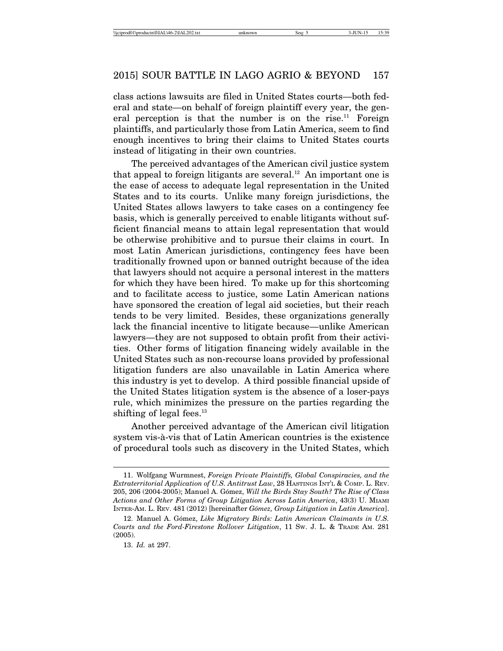class actions lawsuits are filed in United States courts—both federal and state—on behalf of foreign plaintiff every year, the general perception is that the number is on the rise.<sup>11</sup> Foreign plaintiffs, and particularly those from Latin America, seem to find enough incentives to bring their claims to United States courts instead of litigating in their own countries.

The perceived advantages of the American civil justice system that appeal to foreign litigants are several.<sup>12</sup> An important one is the ease of access to adequate legal representation in the United States and to its courts. Unlike many foreign jurisdictions, the United States allows lawyers to take cases on a contingency fee basis, which is generally perceived to enable litigants without sufficient financial means to attain legal representation that would be otherwise prohibitive and to pursue their claims in court. In most Latin American jurisdictions, contingency fees have been traditionally frowned upon or banned outright because of the idea that lawyers should not acquire a personal interest in the matters for which they have been hired. To make up for this shortcoming and to facilitate access to justice, some Latin American nations have sponsored the creation of legal aid societies, but their reach tends to be very limited. Besides, these organizations generally lack the financial incentive to litigate because—unlike American lawyers—they are not supposed to obtain profit from their activities. Other forms of litigation financing widely available in the United States such as non-recourse loans provided by professional litigation funders are also unavailable in Latin America where this industry is yet to develop. A third possible financial upside of the United States litigation system is the absence of a loser-pays rule, which minimizes the pressure on the parties regarding the shifting of legal fees. $^{13}$ 

Another perceived advantage of the American civil litigation system vis- $\hat{a}$ -vis that of Latin American countries is the existence of procedural tools such as discovery in the United States, which

<sup>11.</sup> Wolfgang Wurmnest, *Foreign Private Plaintiffs, Global Conspiracies, and the Extraterritorial Application of U.S. Antitrust Law*, 28 HASTINGS INT'L & COMP. L. REV. 205, 206 (2004-2005); Manuel A. G´omez, *Will the Birds Stay South? The Rise of Class Actions and Other Forms of Group Litigation Across Latin America*, 43(3) U. MIAMI INTER-AM. L. REV. 481 (2012) [hereinafter *G´omez, Group Litigation in Latin America*].

<sup>12.</sup> Manuel A. Gómez, *Like Migratory Birds: Latin American Claimants in U.S. Courts and the Ford-Firestone Rollover Litigation*, 11 SW. J. L. & TRADE AM. 281 (2005).

<sup>13.</sup> *Id.* at 297.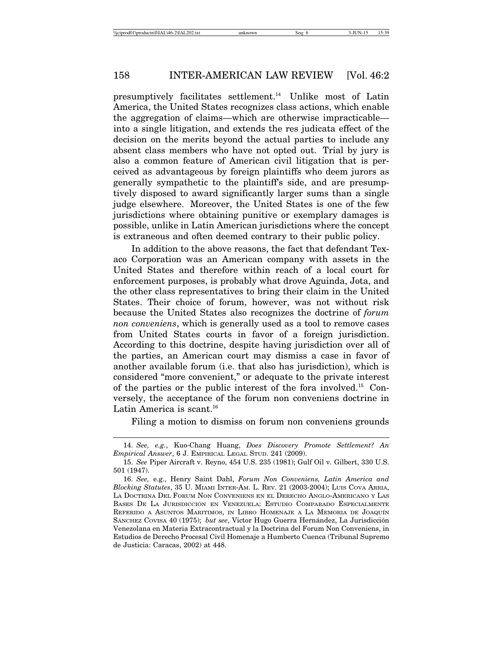presumptively facilitates settlement.14 Unlike most of Latin America, the United States recognizes class actions, which enable the aggregation of claims—which are otherwise impracticable into a single litigation, and extends the res judicata effect of the decision on the merits beyond the actual parties to include any absent class members who have not opted out. Trial by jury is also a common feature of American civil litigation that is perceived as advantageous by foreign plaintiffs who deem jurors as generally sympathetic to the plaintiff's side, and are presumptively disposed to award significantly larger sums than a single judge elsewhere. Moreover, the United States is one of the few jurisdictions where obtaining punitive or exemplary damages is possible, unlike in Latin American jurisdictions where the concept is extraneous and often deemed contrary to their public policy.

In addition to the above reasons, the fact that defendant Texaco Corporation was an American company with assets in the United States and therefore within reach of a local court for enforcement purposes, is probably what drove Aguinda, Jota, and the other class representatives to bring their claim in the United States. Their choice of forum, however, was not without risk because the United States also recognizes the doctrine of *forum non conveniens*, which is generally used as a tool to remove cases from United States courts in favor of a foreign jurisdiction. According to this doctrine, despite having jurisdiction over all of the parties, an American court may dismiss a case in favor of another available forum (i.e. that also has jurisdiction), which is considered "more convenient," or adequate to the private interest of the parties or the public interest of the fora involved.15 Conversely, the acceptance of the forum non conveniens doctrine in Latin America is scant.<sup>16</sup>

Filing a motion to dismiss on forum non conveniens grounds

<sup>14.</sup> *See, e.g.*, Kuo-Chang Huang, *Does Discovery Promote Settlement? An Empirical Answer*, 6 J. EMPIRICAL LEGAL STUD. 241 (2009).

<sup>15.</sup> *See* Piper Aircraft v. Reyno, 454 U.S. 235 (1981); Gulf Oil v. Gilbert, 330 U.S. 501 (1947).

<sup>16.</sup> *See,* e.g., Henry Saint Dahl, *Forum Non Conveniens, Latin America and Blocking Statutes*, 35 U. MIAMI INTER-AM. L. REV. 21 (2003-2004); LUIS COVA ARRIA, LA DOCTRINA DEL FORUM NON CONVENIENS EN EL DERECHO ANGLO-AMERICANO Y LAS BASES DE LA JURISDICCIÓN EN VENEZUELA: ESTUDIO COMPARADO ESPECIALMENTE Referido a Asuntos Maritimos, in Libro Homenaje a La Memoria de Joaquín SÁNCHEZ COVISA 40 (1975); *but see*, Victor Hugo Guerra Hernández, La Jurisdicción Venezolana en Materia Extracontractual y la Doctrina del Forum Non Conveniens, in Estudios de Derecho Procesal Civil Homenaje a Humberto Cuenca (Tribunal Supremo de Justicia: Caracas, 2002) at 448.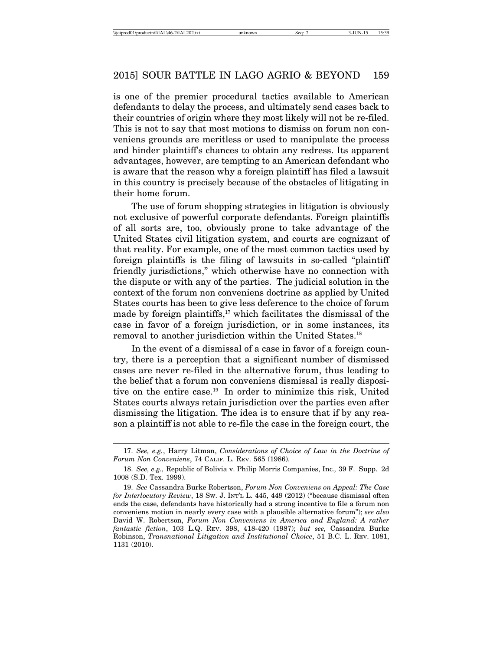is one of the premier procedural tactics available to American defendants to delay the process, and ultimately send cases back to their countries of origin where they most likely will not be re-filed. This is not to say that most motions to dismiss on forum non conveniens grounds are meritless or used to manipulate the process and hinder plaintiff's chances to obtain any redress. Its apparent advantages, however, are tempting to an American defendant who is aware that the reason why a foreign plaintiff has filed a lawsuit in this country is precisely because of the obstacles of litigating in their home forum.

The use of forum shopping strategies in litigation is obviously not exclusive of powerful corporate defendants. Foreign plaintiffs of all sorts are, too, obviously prone to take advantage of the United States civil litigation system, and courts are cognizant of that reality. For example, one of the most common tactics used by foreign plaintiffs is the filing of lawsuits in so-called "plaintiff friendly jurisdictions," which otherwise have no connection with the dispute or with any of the parties. The judicial solution in the context of the forum non conveniens doctrine as applied by United States courts has been to give less deference to the choice of forum made by foreign plaintiffs, $17$  which facilitates the dismissal of the case in favor of a foreign jurisdiction, or in some instances, its removal to another jurisdiction within the United States.18

In the event of a dismissal of a case in favor of a foreign country, there is a perception that a significant number of dismissed cases are never re-filed in the alternative forum, thus leading to the belief that a forum non conveniens dismissal is really dispositive on the entire case.<sup>19</sup> In order to minimize this risk, United States courts always retain jurisdiction over the parties even after dismissing the litigation. The idea is to ensure that if by any reason a plaintiff is not able to re-file the case in the foreign court, the

<sup>17.</sup> *See, e.g.*, Harry Litman, *Considerations of Choice of Law in the Doctrine of Forum Non Conveniens*, 74 CALIF. L. REV. 565 (1986).

<sup>18.</sup> *See, e.g.,* Republic of Bolivia v. Philip Morris Companies, Inc*.,* 39 F. Supp. 2d 1008 (S.D. Tex. 1999).

<sup>19.</sup> *See* Cassandra Burke Robertson, *Forum Non Conveniens on Appeal: The Case for Interlocutory Review*, 18 SW. J. INT'L L. 445, 449 (2012) ("because dismissal often ends the case, defendants have historically had a strong incentive to file a forum non conveniens motion in nearly every case with a plausible alternative forum"); *see also* David W. Robertson, *Forum Non Conveniens in America and England: A rather fantastic fiction*, 103 L.Q. REV. 398, 418-420 (1987); *but see,* Cassandra Burke Robinson, *Transnational Litigation and Institutional Choice*, 51 B.C. L. REV. 1081, 1131 (2010).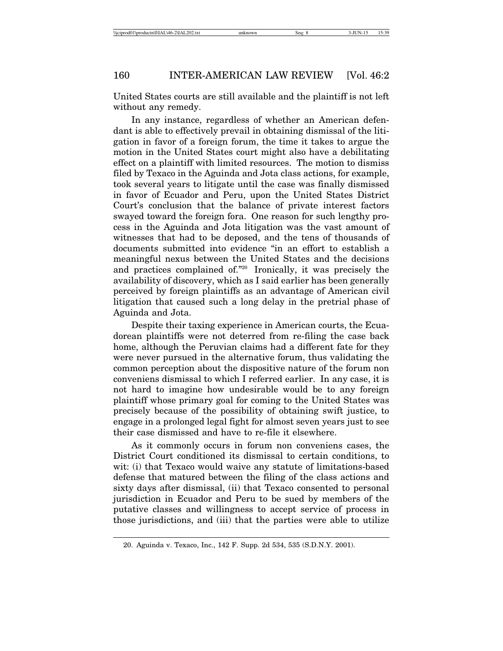United States courts are still available and the plaintiff is not left without any remedy.

In any instance, regardless of whether an American defendant is able to effectively prevail in obtaining dismissal of the litigation in favor of a foreign forum, the time it takes to argue the motion in the United States court might also have a debilitating effect on a plaintiff with limited resources. The motion to dismiss filed by Texaco in the Aguinda and Jota class actions, for example, took several years to litigate until the case was finally dismissed in favor of Ecuador and Peru, upon the United States District Court's conclusion that the balance of private interest factors swayed toward the foreign fora. One reason for such lengthy process in the Aguinda and Jota litigation was the vast amount of witnesses that had to be deposed, and the tens of thousands of documents submitted into evidence "in an effort to establish a meaningful nexus between the United States and the decisions and practices complained of."20 Ironically, it was precisely the availability of discovery, which as I said earlier has been generally perceived by foreign plaintiffs as an advantage of American civil litigation that caused such a long delay in the pretrial phase of Aguinda and Jota.

Despite their taxing experience in American courts, the Ecuadorean plaintiffs were not deterred from re-filing the case back home, although the Peruvian claims had a different fate for they were never pursued in the alternative forum, thus validating the common perception about the dispositive nature of the forum non conveniens dismissal to which I referred earlier. In any case, it is not hard to imagine how undesirable would be to any foreign plaintiff whose primary goal for coming to the United States was precisely because of the possibility of obtaining swift justice, to engage in a prolonged legal fight for almost seven years just to see their case dismissed and have to re-file it elsewhere.

As it commonly occurs in forum non conveniens cases, the District Court conditioned its dismissal to certain conditions, to wit: (i) that Texaco would waive any statute of limitations-based defense that matured between the filing of the class actions and sixty days after dismissal, (ii) that Texaco consented to personal jurisdiction in Ecuador and Peru to be sued by members of the putative classes and willingness to accept service of process in those jurisdictions, and (iii) that the parties were able to utilize

<sup>20.</sup> Aguinda v. Texaco, Inc., 142 F. Supp. 2d 534, 535 (S.D.N.Y. 2001).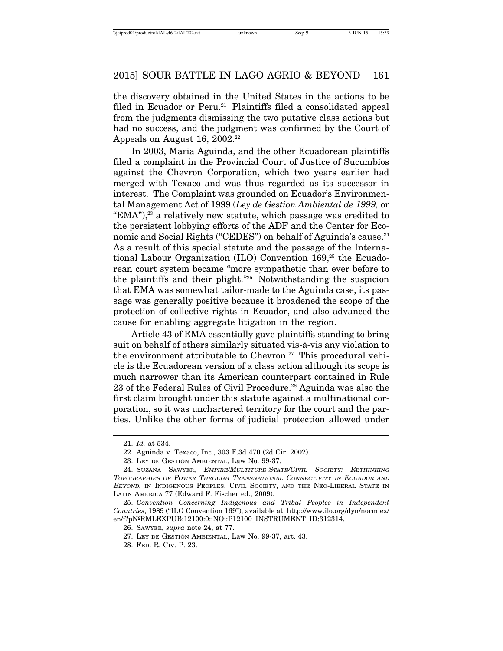the discovery obtained in the United States in the actions to be filed in Ecuador or Peru.<sup>21</sup> Plaintiffs filed a consolidated appeal from the judgments dismissing the two putative class actions but had no success, and the judgment was confirmed by the Court of Appeals on August 16, 2002.<sup>22</sup>

In 2003, Maria Aguinda, and the other Ecuadorean plaintiffs filed a complaint in the Provincial Court of Justice of Sucumbios against the Chevron Corporation, which two years earlier had merged with Texaco and was thus regarded as its successor in interest. The Complaint was grounded on Ecuador's Environmental Management Act of 1999 (*Ley de Gestion Ambiental de 1999,* or "EMA"),23 a relatively new statute, which passage was credited to the persistent lobbying efforts of the ADF and the Center for Economic and Social Rights ("CEDES") on behalf of Aguinda's cause.<sup>24</sup> As a result of this special statute and the passage of the International Labour Organization (ILO) Convention  $169<sup>25</sup>$  the Ecuadorean court system became "more sympathetic than ever before to the plaintiffs and their plight."26 Notwithstanding the suspicion that EMA was somewhat tailor-made to the Aguinda case, its passage was generally positive because it broadened the scope of the protection of collective rights in Ecuador, and also advanced the cause for enabling aggregate litigation in the region.

Article 43 of EMA essentially gave plaintiffs standing to bring suit on behalf of others similarly situated vis-à-vis any violation to the environment attributable to Chevron.<sup>27</sup> This procedural vehicle is the Ecuadorean version of a class action although its scope is much narrower than its American counterpart contained in Rule 23 of the Federal Rules of Civil Procedure.<sup>28</sup> Aguinda was also the first claim brought under this statute against a multinational corporation, so it was unchartered territory for the court and the parties. Unlike the other forms of judicial protection allowed under

<sup>21.</sup> *Id.* at 534.

<sup>22.</sup> Aguinda v. Texaco, Inc., 303 F.3d 470 (2d Cir. 2002).

<sup>23.</sup> LEY DE GESTIÓN AMBIENTAL, Law No. 99-37.

<sup>24.</sup> SUZANA SAWYER, EMPIRE/MULTITURE-STATE/CIVIL SOCIETY: RETHINKING TOPOGRAPHIES OF POWER THROUGH TRANSNATIONAL CONNECTIVITY IN ECUADOR AND BEYOND, IN INDIGENOUS PEOPLES, CIVIL SOCIETY, AND THE NEO-LIBERAL STATE IN LATIN AMERICA 77 (Edward F. Fischer ed., 2009).

<sup>25.</sup> *Convention Concerning Indigenous and Tribal Peoples in Independent Countries*, 1989 ("ILO Convention 169"), available at: http://www.ilo.org/dyn/normlex/ en/f?pNºRMLEXPUB:12100:0::NO::P12100\_INSTRUMENT\_ID:312314.

<sup>26.</sup> SAWYER, *supra* note 24, at 77.

<sup>27.</sup> LEY DE GESTION´ AMBIENTAL, Law No. 99-37, art. 43.

<sup>28.</sup> FED. R. CIV. P. 23.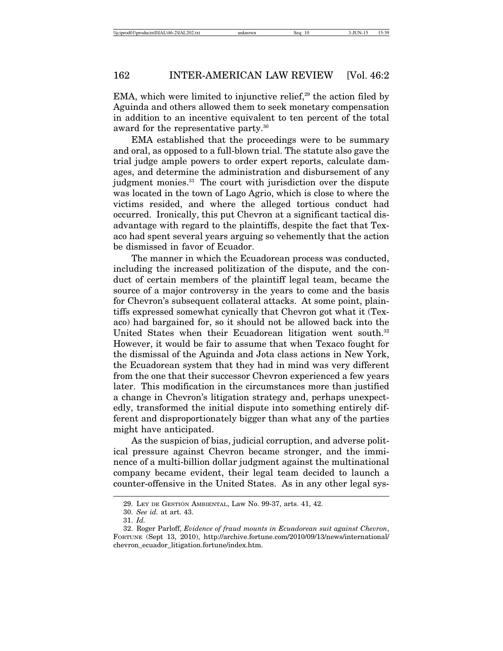EMA, which were limited to injunctive relief.<sup>29</sup> the action filed by Aguinda and others allowed them to seek monetary compensation in addition to an incentive equivalent to ten percent of the total award for the representative party.30

EMA established that the proceedings were to be summary and oral, as opposed to a full-blown trial. The statute also gave the trial judge ample powers to order expert reports, calculate damages, and determine the administration and disbursement of any judgment monies.<sup>31</sup> The court with jurisdiction over the dispute was located in the town of Lago Agrio, which is close to where the victims resided, and where the alleged tortious conduct had occurred. Ironically, this put Chevron at a significant tactical disadvantage with regard to the plaintiffs, despite the fact that Texaco had spent several years arguing so vehemently that the action be dismissed in favor of Ecuador.

The manner in which the Ecuadorean process was conducted, including the increased politization of the dispute, and the conduct of certain members of the plaintiff legal team, became the source of a major controversy in the years to come and the basis for Chevron's subsequent collateral attacks. At some point, plaintiffs expressed somewhat cynically that Chevron got what it (Texaco) had bargained for, so it should not be allowed back into the United States when their Ecuadorean litigation went south.<sup>32</sup> However, it would be fair to assume that when Texaco fought for the dismissal of the Aguinda and Jota class actions in New York, the Ecuadorean system that they had in mind was very different from the one that their successor Chevron experienced a few years later. This modification in the circumstances more than justified a change in Chevron's litigation strategy and, perhaps unexpectedly, transformed the initial dispute into something entirely different and disproportionately bigger than what any of the parties might have anticipated.

As the suspicion of bias, judicial corruption, and adverse political pressure against Chevron became stronger, and the imminence of a multi-billion dollar judgment against the multinational company became evident, their legal team decided to launch a counter-offensive in the United States. As in any other legal sys-

<sup>29.</sup> LEY DE GESTION´ AMBIENTAL, Law No. 99-37, arts. 41, 42.

<sup>30.</sup> *See id.* at art. 43.

<sup>31.</sup> *Id.*

<sup>32.</sup> Roger Parloff, *Evidence of fraud mounts in Ecuadorean suit against Chevron*, FORTUNE (Sept 13, 2010), http://archive.fortune.com/2010/09/13/news/international/ chevron\_ecuador\_litigation.fortune/index.htm.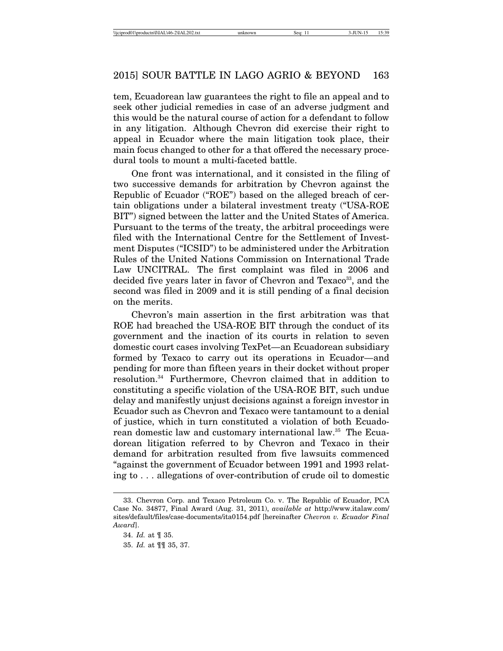tem, Ecuadorean law guarantees the right to file an appeal and to seek other judicial remedies in case of an adverse judgment and this would be the natural course of action for a defendant to follow in any litigation. Although Chevron did exercise their right to appeal in Ecuador where the main litigation took place, their main focus changed to other for a that offered the necessary procedural tools to mount a multi-faceted battle.

One front was international, and it consisted in the filing of two successive demands for arbitration by Chevron against the Republic of Ecuador ("ROE") based on the alleged breach of certain obligations under a bilateral investment treaty ("USA-ROE BIT") signed between the latter and the United States of America. Pursuant to the terms of the treaty, the arbitral proceedings were filed with the International Centre for the Settlement of Investment Disputes ("ICSID") to be administered under the Arbitration Rules of the United Nations Commission on International Trade Law UNCITRAL. The first complaint was filed in 2006 and decided five years later in favor of Chevron and Texaco<sup>33</sup>, and the second was filed in 2009 and it is still pending of a final decision on the merits.

Chevron's main assertion in the first arbitration was that ROE had breached the USA-ROE BIT through the conduct of its government and the inaction of its courts in relation to seven domestic court cases involving TexPet—an Ecuadorean subsidiary formed by Texaco to carry out its operations in Ecuador—and pending for more than fifteen years in their docket without proper resolution.34 Furthermore, Chevron claimed that in addition to constituting a specific violation of the USA-ROE BIT, such undue delay and manifestly unjust decisions against a foreign investor in Ecuador such as Chevron and Texaco were tantamount to a denial of justice, which in turn constituted a violation of both Ecuadorean domestic law and customary international law.<sup>35</sup> The Ecuadorean litigation referred to by Chevron and Texaco in their demand for arbitration resulted from five lawsuits commenced "against the government of Ecuador between 1991 and 1993 relating to . . . allegations of over-contribution of crude oil to domestic

<sup>33.</sup> Chevron Corp. and Texaco Petroleum Co. v. The Republic of Ecuador, PCA Case No. 34877, Final Award (Aug. 31, 2011), *available at* http://www.italaw.com/ sites/default/files/case-documents/ita0154.pdf [hereinafter *Chevron v. Ecuador Final Award*].

<sup>34.</sup> *Id.* at ¶ 35.

<sup>35.</sup> *Id.* at ¶¶ 35, 37.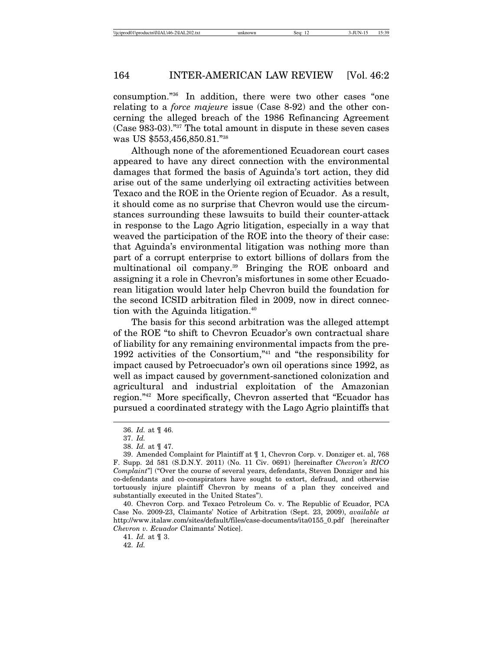consumption."36 In addition, there were two other cases "one relating to a *force majeure* issue (Case 8-92) and the other concerning the alleged breach of the 1986 Refinancing Agreement (Case 983-03)."37 The total amount in dispute in these seven cases was US \$553,456,850.81."38

Although none of the aforementioned Ecuadorean court cases appeared to have any direct connection with the environmental damages that formed the basis of Aguinda's tort action, they did arise out of the same underlying oil extracting activities between Texaco and the ROE in the Oriente region of Ecuador. As a result, it should come as no surprise that Chevron would use the circumstances surrounding these lawsuits to build their counter-attack in response to the Lago Agrio litigation, especially in a way that weaved the participation of the ROE into the theory of their case: that Aguinda's environmental litigation was nothing more than part of a corrupt enterprise to extort billions of dollars from the multinational oil company.<sup>39</sup> Bringing the ROE onboard and assigning it a role in Chevron's misfortunes in some other Ecuadorean litigation would later help Chevron build the foundation for the second ICSID arbitration filed in 2009, now in direct connection with the Aguinda litigation.<sup>40</sup>

The basis for this second arbitration was the alleged attempt of the ROE "to shift to Chevron Ecuador's own contractual share of liability for any remaining environmental impacts from the pre-1992 activities of the Consortium,"41 and "the responsibility for impact caused by Petroecuador's own oil operations since 1992, as well as impact caused by government-sanctioned colonization and agricultural and industrial exploitation of the Amazonian region."42 More specifically, Chevron asserted that "Ecuador has pursued a coordinated strategy with the Lago Agrio plaintiffs that

40. Chevron Corp. and Texaco Petroleum Co. v. The Republic of Ecuador, PCA Case No. 2009-23, Claimants' Notice of Arbitration (Sept. 23, 2009), *available at* http://www.italaw.com/sites/default/files/case-documents/ita0155\_0.pdf [hereinafter *Chevron v. Ecuador* Claimants' Notice].

41. *Id.* at ¶ 3.

42. *Id.*

<sup>36.</sup> *Id.* at ¶ 46.

<sup>37.</sup> *Id.*

<sup>38.</sup> *Id.* at ¶ 47.

<sup>39.</sup> Amended Complaint for Plaintiff at ¶ 1, Chevron Corp. v. Donziger et. al, 768 F. Supp. 2d 581 (S.D.N.Y. 2011) (No. 11 Civ. 0691) [hereinafter *Chevron's RICO Complaint*"] ("Over the course of several years, defendants, Steven Donziger and his co-defendants and co-conspirators have sought to extort, defraud, and otherwise tortuously injure plaintiff Chevron by means of a plan they conceived and substantially executed in the United States").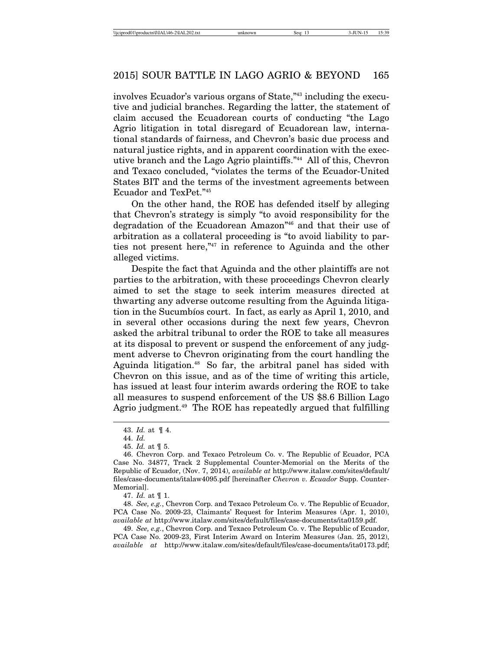involves Ecuador's various organs of State,"43 including the executive and judicial branches. Regarding the latter, the statement of claim accused the Ecuadorean courts of conducting "the Lago Agrio litigation in total disregard of Ecuadorean law, international standards of fairness, and Chevron's basic due process and natural justice rights, and in apparent coordination with the executive branch and the Lago Agrio plaintiffs."44 All of this, Chevron and Texaco concluded, "violates the terms of the Ecuador-United States BIT and the terms of the investment agreements between Ecuador and TexPet."45

On the other hand, the ROE has defended itself by alleging that Chevron's strategy is simply "to avoid responsibility for the degradation of the Ecuadorean Amazon"46 and that their use of arbitration as a collateral proceeding is "to avoid liability to parties not present here,"47 in reference to Aguinda and the other alleged victims.

Despite the fact that Aguinda and the other plaintiffs are not parties to the arbitration, with these proceedings Chevron clearly aimed to set the stage to seek interim measures directed at thwarting any adverse outcome resulting from the Aguinda litigation in the Sucumbios court. In fact, as early as April 1, 2010, and in several other occasions during the next few years, Chevron asked the arbitral tribunal to order the ROE to take all measures at its disposal to prevent or suspend the enforcement of any judgment adverse to Chevron originating from the court handling the Aguinda litigation.<sup>48</sup> So far, the arbitral panel has sided with Chevron on this issue, and as of the time of writing this article, has issued at least four interim awards ordering the ROE to take all measures to suspend enforcement of the US \$8.6 Billion Lago Agrio judgment.<sup>49</sup> The ROE has repeatedly argued that fulfilling

49. *See, e.g.*, Chevron Corp. and Texaco Petroleum Co. v. The Republic of Ecuador, PCA Case No. 2009-23, First Interim Award on Interim Measures (Jan. 25, 2012), *available at* http://www.italaw.com/sites/default/files/case-documents/ita0173.pdf;

<sup>43.</sup> *Id.* at ¶ 4.

<sup>44.</sup> *Id.*

<sup>45.</sup> *Id.* at ¶ 5.

<sup>46.</sup> Chevron Corp. and Texaco Petroleum Co. v. The Republic of Ecuador, PCA Case No. 34877, Track 2 Supplemental Counter-Memorial on the Merits of the Republic of Ecuador, (Nov. 7, 2014), *available at* http://www.italaw.com/sites/default/ files/case-documents/italaw4095.pdf [hereinafter *Chevron v. Ecuador* Supp. Counter-Memorial].

<sup>47.</sup> *Id.* at ¶ 1.

<sup>48.</sup> *See, e.g.*, Chevron Corp. and Texaco Petroleum Co. v. The Republic of Ecuador, PCA Case No. 2009-23, Claimants' Request for Interim Measures (Apr. 1, 2010), *available at* http://www.italaw.com/sites/default/files/case-documents/ita0159.pdf.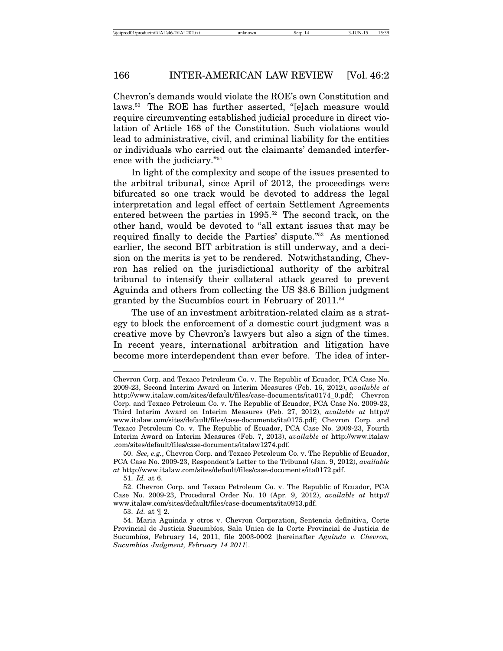Chevron's demands would violate the ROE's own Constitution and laws.50 The ROE has further asserted, "[e]ach measure would require circumventing established judicial procedure in direct violation of Article 168 of the Constitution. Such violations would lead to administrative, civil, and criminal liability for the entities or individuals who carried out the claimants' demanded interference with the judiciary."51

In light of the complexity and scope of the issues presented to the arbitral tribunal, since April of 2012, the proceedings were bifurcated so one track would be devoted to address the legal interpretation and legal effect of certain Settlement Agreements entered between the parties in 1995.<sup>52</sup> The second track, on the other hand, would be devoted to "all extant issues that may be required finally to decide the Parties' dispute."53 As mentioned earlier, the second BIT arbitration is still underway, and a decision on the merits is yet to be rendered. Notwithstanding, Chevron has relied on the jurisdictional authority of the arbitral tribunal to intensify their collateral attack geared to prevent Aguinda and others from collecting the US \$8.6 Billion judgment granted by the Sucumbios court in February of  $2011^{54}$ 

The use of an investment arbitration-related claim as a strategy to block the enforcement of a domestic court judgment was a creative move by Chevron's lawyers but also a sign of the times. In recent years, international arbitration and litigation have become more interdependent than ever before. The idea of inter-

51. *Id.* at 6.

Chevron Corp. and Texaco Petroleum Co. v. The Republic of Ecuador, PCA Case No. 2009-23, Second Interim Award on Interim Measures (Feb. 16, 2012), *available at* http://www.italaw.com/sites/default/files/case-documents/ita0174\_0.pdf; Chevron Corp. and Texaco Petroleum Co. v. The Republic of Ecuador, PCA Case No. 2009-23, Third Interim Award on Interim Measures (Feb. 27, 2012), *available at* http:// www.italaw.com/sites/default/files/case-documents/ita0175.pdf; Chevron Corp. and Texaco Petroleum Co. v. The Republic of Ecuador, PCA Case No. 2009-23, Fourth Interim Award on Interim Measures (Feb. 7, 2013), *available at* http://www.italaw .com/sites/default/files/case-documents/italaw1274.pdf.

<sup>50.</sup> *See, e.g.*, Chevron Corp. and Texaco Petroleum Co. v. The Republic of Ecuador, PCA Case No. 2009-23, Respondent's Letter to the Tribunal (Jan. 9, 2012), *available at* http://www.italaw.com/sites/default/files/case-documents/ita0172.pdf.

<sup>52.</sup> Chevron Corp. and Texaco Petroleum Co. v. The Republic of Ecuador, PCA Case No. 2009-23, Procedural Order No. 10 (Apr. 9, 2012), *available at* http:// www.italaw.com/sites/default/files/case-documents/ita0913.pdf.

<sup>53.</sup> *Id.* at ¶ 2.

<sup>54.</sup> Maria Aguinda y otros v. Chevron Corporation, Sentencia definitiva, Corte Provincial de Justicia Sucumbíos, Sala Unica de la Corte Provincial de Justicia de Sucumbíos, February 14, 2011, file 2003-0002 [hereinafter *Aguinda v. Chevron*, *Sucumb´ıos Judgment, February 14 2011*].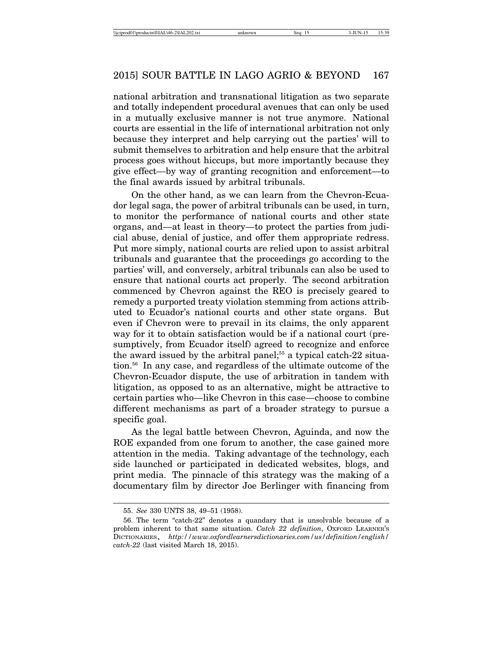national arbitration and transnational litigation as two separate and totally independent procedural avenues that can only be used in a mutually exclusive manner is not true anymore. National courts are essential in the life of international arbitration not only because they interpret and help carrying out the parties' will to submit themselves to arbitration and help ensure that the arbitral process goes without hiccups, but more importantly because they give effect—by way of granting recognition and enforcement—to the final awards issued by arbitral tribunals.

On the other hand, as we can learn from the Chevron-Ecuador legal saga, the power of arbitral tribunals can be used, in turn, to monitor the performance of national courts and other state organs, and—at least in theory—to protect the parties from judicial abuse, denial of justice, and offer them appropriate redress. Put more simply, national courts are relied upon to assist arbitral tribunals and guarantee that the proceedings go according to the parties' will, and conversely, arbitral tribunals can also be used to ensure that national courts act properly. The second arbitration commenced by Chevron against the REO is precisely geared to remedy a purported treaty violation stemming from actions attributed to Ecuador's national courts and other state organs. But even if Chevron were to prevail in its claims, the only apparent way for it to obtain satisfaction would be if a national court (presumptively, from Ecuador itself) agreed to recognize and enforce the award issued by the arbitral panel;<sup>55</sup> a typical catch-22 situation.56 In any case, and regardless of the ultimate outcome of the Chevron-Ecuador dispute, the use of arbitration in tandem with litigation, as opposed to as an alternative, might be attractive to certain parties who—like Chevron in this case—choose to combine different mechanisms as part of a broader strategy to pursue a specific goal.

As the legal battle between Chevron, Aguinda, and now the ROE expanded from one forum to another, the case gained more attention in the media. Taking advantage of the technology, each side launched or participated in dedicated websites, blogs, and print media. The pinnacle of this strategy was the making of a documentary film by director Joe Berlinger with financing from

<sup>55.</sup> *See* 330 UNTS 38, 49–51 (1958).

<sup>56.</sup> The term "catch-22" denotes a quandary that is unsolvable because of a problem inherent to that same situation. *Catch 22 definition*, OXFORD LEARNER'S DICTIONARIES, *http://www.oxfordlearnersdictionaries.com/us/definition/english/ catch-22* (last visited March 18, 2015).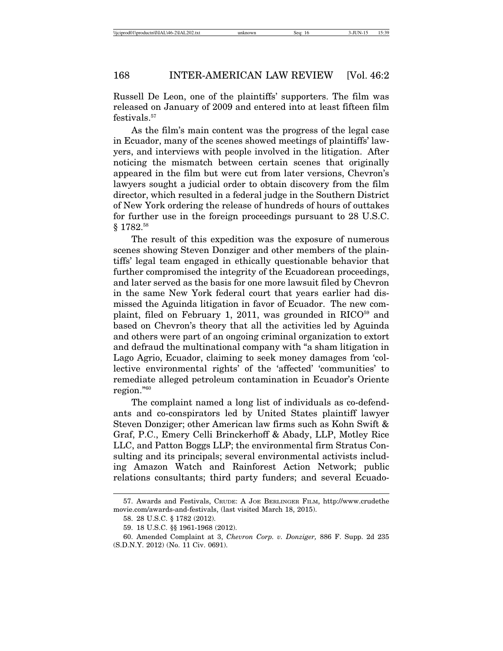Russell De Leon, one of the plaintiffs' supporters. The film was released on January of 2009 and entered into at least fifteen film festivals.<sup>57</sup>

As the film's main content was the progress of the legal case in Ecuador, many of the scenes showed meetings of plaintiffs' lawyers, and interviews with people involved in the litigation. After noticing the mismatch between certain scenes that originally appeared in the film but were cut from later versions, Chevron's lawyers sought a judicial order to obtain discovery from the film director, which resulted in a federal judge in the Southern District of New York ordering the release of hundreds of hours of outtakes for further use in the foreign proceedings pursuant to 28 U.S.C. § 1782.<sup>58</sup>

The result of this expedition was the exposure of numerous scenes showing Steven Donziger and other members of the plaintiffs' legal team engaged in ethically questionable behavior that further compromised the integrity of the Ecuadorean proceedings, and later served as the basis for one more lawsuit filed by Chevron in the same New York federal court that years earlier had dismissed the Aguinda litigation in favor of Ecuador. The new complaint, filed on February 1, 2011, was grounded in  $RICO<sup>59</sup>$  and based on Chevron's theory that all the activities led by Aguinda and others were part of an ongoing criminal organization to extort and defraud the multinational company with "a sham litigation in Lago Agrio, Ecuador, claiming to seek money damages from 'collective environmental rights' of the 'affected' 'communities' to remediate alleged petroleum contamination in Ecuador's Oriente region."60

The complaint named a long list of individuals as co-defendants and co-conspirators led by United States plaintiff lawyer Steven Donziger; other American law firms such as Kohn Swift & Graf, P.C., Emery Celli Brinckerhoff & Abady, LLP, Motley Rice LLC, and Patton Boggs LLP; the environmental firm Stratus Consulting and its principals; several environmental activists including Amazon Watch and Rainforest Action Network; public relations consultants; third party funders; and several Ecuado-

<sup>57.</sup> Awards and Festivals, CRUDE: A JOE BERLINGER FILM, http://www.crudethe movie.com/awards-and-festivals, (last visited March 18, 2015).

<sup>58. 28</sup> U.S.C. § 1782 (2012).

<sup>59. 18</sup> U.S.C. §§ 1961-1968 (2012).

<sup>60.</sup> Amended Complaint at 3, *Chevron Corp. v. Donziger,* 886 F. Supp. 2d 235 (S.D.N.Y. 2012) (No. 11 Civ. 0691).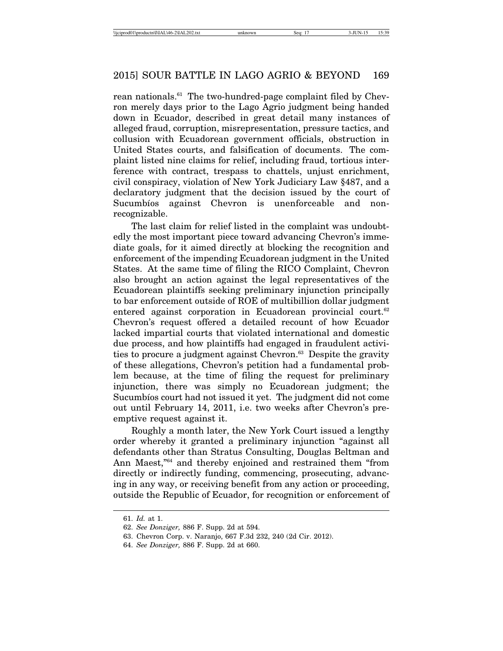rean nationals.<sup>61</sup> The two-hundred-page complaint filed by Chevron merely days prior to the Lago Agrio judgment being handed down in Ecuador, described in great detail many instances of alleged fraud, corruption, misrepresentation, pressure tactics, and collusion with Ecuadorean government officials, obstruction in United States courts, and falsification of documents. The complaint listed nine claims for relief, including fraud, tortious interference with contract, trespass to chattels, unjust enrichment, civil conspiracy, violation of New York Judiciary Law §487, and a declaratory judgment that the decision issued by the court of Sucumbíos against Chevron is unenforceable and nonrecognizable.

The last claim for relief listed in the complaint was undoubtedly the most important piece toward advancing Chevron's immediate goals, for it aimed directly at blocking the recognition and enforcement of the impending Ecuadorean judgment in the United States. At the same time of filing the RICO Complaint, Chevron also brought an action against the legal representatives of the Ecuadorean plaintiffs seeking preliminary injunction principally to bar enforcement outside of ROE of multibillion dollar judgment entered against corporation in Ecuadorean provincial court.<sup>62</sup> Chevron's request offered a detailed recount of how Ecuador lacked impartial courts that violated international and domestic due process, and how plaintiffs had engaged in fraudulent activities to procure a judgment against Chevron.<sup>63</sup> Despite the gravity of these allegations, Chevron's petition had a fundamental problem because, at the time of filing the request for preliminary injunction, there was simply no Ecuadorean judgment; the Sucumbios court had not issued it yet. The judgment did not come out until February 14, 2011, i.e. two weeks after Chevron's preemptive request against it.

Roughly a month later, the New York Court issued a lengthy order whereby it granted a preliminary injunction "against all defendants other than Stratus Consulting, Douglas Beltman and Ann Maest,"64 and thereby enjoined and restrained them "from directly or indirectly funding, commencing, prosecuting, advancing in any way, or receiving benefit from any action or proceeding, outside the Republic of Ecuador, for recognition or enforcement of

<sup>61.</sup> *Id.* at 1.

<sup>62.</sup> *See Donziger,* 886 F. Supp. 2d at 594.

<sup>63.</sup> Chevron Corp. v. Naranjo, 667 F.3d 232, 240 (2d Cir. 2012).

<sup>64.</sup> *See Donziger,* 886 F. Supp. 2d at 660.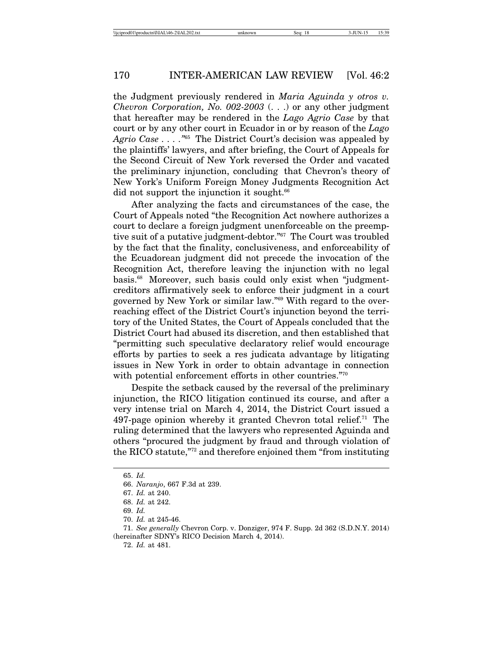the Judgment previously rendered in *Maria Aguinda y otros v. Chevron Corporation, No. 002-2003* (. . .) or any other judgment that hereafter may be rendered in the *Lago Agrio Case* by that court or by any other court in Ecuador in or by reason of the *Lago Agrio Case . . . ."*<sup>65</sup> The District Court's decision was appealed by the plaintiffs' lawyers, and after briefing, the Court of Appeals for the Second Circuit of New York reversed the Order and vacated the preliminary injunction, concluding that Chevron's theory of New York's Uniform Foreign Money Judgments Recognition Act did not support the injunction it sought.<sup>66</sup>

After analyzing the facts and circumstances of the case, the Court of Appeals noted "the Recognition Act nowhere authorizes a court to declare a foreign judgment unenforceable on the preemptive suit of a putative judgment-debtor."67 The Court was troubled by the fact that the finality, conclusiveness, and enforceability of the Ecuadorean judgment did not precede the invocation of the Recognition Act, therefore leaving the injunction with no legal basis.68 Moreover, such basis could only exist when "judgmentcreditors affirmatively seek to enforce their judgment in a court governed by New York or similar law."69 With regard to the overreaching effect of the District Court's injunction beyond the territory of the United States, the Court of Appeals concluded that the District Court had abused its discretion, and then established that "permitting such speculative declaratory relief would encourage efforts by parties to seek a res judicata advantage by litigating issues in New York in order to obtain advantage in connection with potential enforcement efforts in other countries."70

Despite the setback caused by the reversal of the preliminary injunction, the RICO litigation continued its course, and after a very intense trial on March 4, 2014, the District Court issued a 497-page opinion whereby it granted Chevron total relief.<sup>71</sup> The ruling determined that the lawyers who represented Aguinda and others "procured the judgment by fraud and through violation of the RICO statute,"72 and therefore enjoined them "from instituting

<sup>65.</sup> *Id.*

<sup>66.</sup> *Naranjo*, 667 F.3d at 239.

<sup>67.</sup> *Id.* at 240.

<sup>68.</sup> *Id.* at 242.

<sup>69.</sup> *Id.*

<sup>70.</sup> *Id.* at 245-46.

<sup>71.</sup> *See generally* Chevron Corp. v. Donziger, 974 F. Supp. 2d 362 (S.D.N.Y. 2014) (hereinafter SDNY's RICO Decision March 4, 2014).

<sup>72.</sup> *Id.* at 481.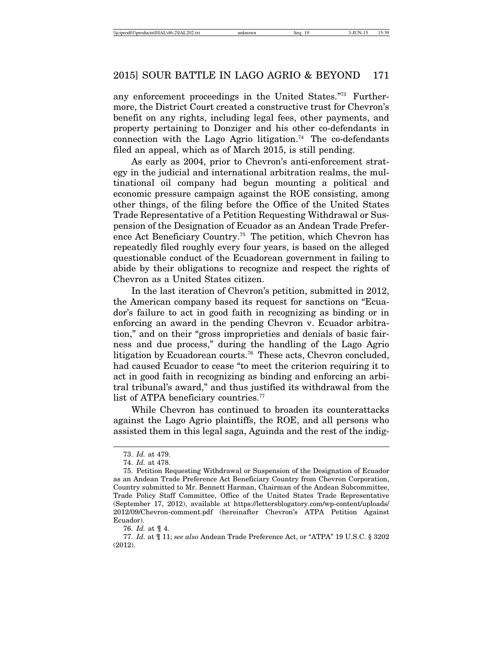any enforcement proceedings in the United States."73 Furthermore, the District Court created a constructive trust for Chevron's benefit on any rights, including legal fees, other payments, and property pertaining to Donziger and his other co-defendants in connection with the Lago Agrio litigation.<sup>74</sup> The co-defendants filed an appeal, which as of March 2015, is still pending.

As early as 2004, prior to Chevron's anti-enforcement strategy in the judicial and international arbitration realms, the multinational oil company had begun mounting a political and economic pressure campaign against the ROE consisting, among other things, of the filing before the Office of the United States Trade Representative of a Petition Requesting Withdrawal or Suspension of the Designation of Ecuador as an Andean Trade Preference Act Beneficiary Country.75 The petition, which Chevron has repeatedly filed roughly every four years, is based on the alleged questionable conduct of the Ecuadorean government in failing to abide by their obligations to recognize and respect the rights of Chevron as a United States citizen.

In the last iteration of Chevron's petition, submitted in 2012, the American company based its request for sanctions on "Ecuador's failure to act in good faith in recognizing as binding or in enforcing an award in the pending Chevron v. Ecuador arbitration," and on their "gross improprieties and denials of basic fairness and due process," during the handling of the Lago Agrio litigation by Ecuadorean courts.<sup>76</sup> These acts, Chevron concluded, had caused Ecuador to cease "to meet the criterion requiring it to act in good faith in recognizing as binding and enforcing an arbitral tribunal's award," and thus justified its withdrawal from the list of ATPA beneficiary countries.<sup>77</sup>

While Chevron has continued to broaden its counterattacks against the Lago Agrio plaintiffs, the ROE, and all persons who assisted them in this legal saga, Aguinda and the rest of the indig-

<sup>73.</sup> *Id.* at 479.

<sup>74.</sup> *Id.* at 478.

<sup>75.</sup> Petition Requesting Withdrawal or Suspension of the Designation of Ecuador as an Andean Trade Preference Act Beneficiary Country from Chevron Corporation, Country submitted to Mr. Bennett Harman, Chairman of the Andean Subcommittee, Trade Policy Staff Committee, Office of the United States Trade Representative (September 17, 2012), available at https://lettersblogatory.com/wp-content/uploads/ 2012/09/Chevron-comment.pdf (hereinafter Chevron's ATPA Petition Against Ecuador).

<sup>76.</sup> *Id.* at ¶ 4.

<sup>77.</sup> *Id.* at ¶ 11; *see also* Andean Trade Preference Act, or "ATPA" 19 U.S.C. § 3202 (2012).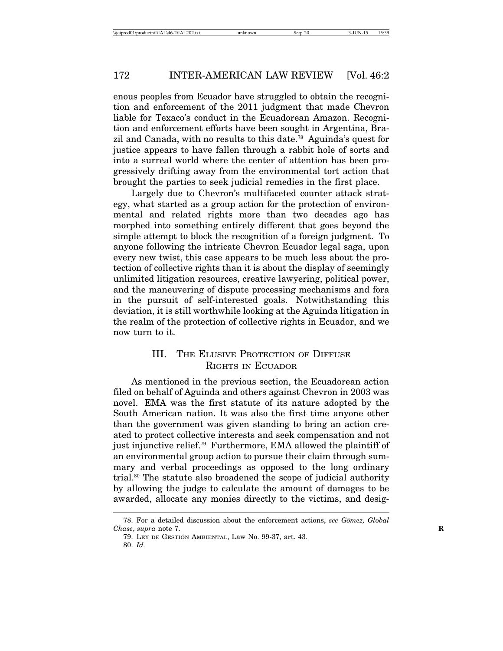enous peoples from Ecuador have struggled to obtain the recognition and enforcement of the 2011 judgment that made Chevron liable for Texaco's conduct in the Ecuadorean Amazon. Recognition and enforcement efforts have been sought in Argentina, Brazil and Canada, with no results to this date.78 Aguinda's quest for justice appears to have fallen through a rabbit hole of sorts and into a surreal world where the center of attention has been progressively drifting away from the environmental tort action that brought the parties to seek judicial remedies in the first place.

Largely due to Chevron's multifaceted counter attack strategy, what started as a group action for the protection of environmental and related rights more than two decades ago has morphed into something entirely different that goes beyond the simple attempt to block the recognition of a foreign judgment. To anyone following the intricate Chevron Ecuador legal saga, upon every new twist, this case appears to be much less about the protection of collective rights than it is about the display of seemingly unlimited litigation resources, creative lawyering, political power, and the maneuvering of dispute processing mechanisms and fora in the pursuit of self-interested goals. Notwithstanding this deviation, it is still worthwhile looking at the Aguinda litigation in the realm of the protection of collective rights in Ecuador, and we now turn to it.

### III. THE ELUSIVE PROTECTION OF DIFFUSE RIGHTS IN ECUADOR

As mentioned in the previous section, the Ecuadorean action filed on behalf of Aguinda and others against Chevron in 2003 was novel. EMA was the first statute of its nature adopted by the South American nation. It was also the first time anyone other than the government was given standing to bring an action created to protect collective interests and seek compensation and not just injunctive relief.79 Furthermore, EMA allowed the plaintiff of an environmental group action to pursue their claim through summary and verbal proceedings as opposed to the long ordinary trial.80 The statute also broadened the scope of judicial authority by allowing the judge to calculate the amount of damages to be awarded, allocate any monies directly to the victims, and desig-

<sup>78.</sup> For a detailed discussion about the enforcement actions, *see G´omez, Global Chase*, *supra* note 7. **R**

<sup>79.</sup> LEY DE GESTION´ AMBIENTAL, Law No. 99-37, art. 43.

<sup>80.</sup> *Id.*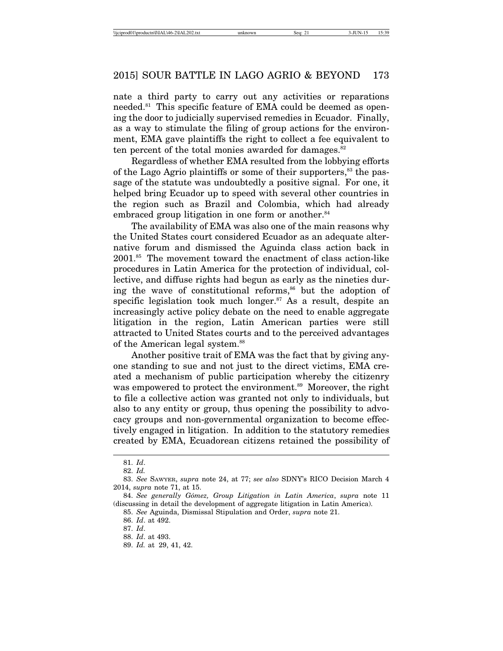nate a third party to carry out any activities or reparations needed.<sup>81</sup> This specific feature of EMA could be deemed as opening the door to judicially supervised remedies in Ecuador. Finally, as a way to stimulate the filing of group actions for the environment, EMA gave plaintiffs the right to collect a fee equivalent to ten percent of the total monies awarded for damages. $82$ 

Regardless of whether EMA resulted from the lobbying efforts of the Lago Agrio plaintiffs or some of their supporters,<sup>83</sup> the passage of the statute was undoubtedly a positive signal. For one, it helped bring Ecuador up to speed with several other countries in the region such as Brazil and Colombia, which had already embraced group litigation in one form or another.<sup>84</sup>

The availability of EMA was also one of the main reasons why the United States court considered Ecuador as an adequate alternative forum and dismissed the Aguinda class action back in 2001.85 The movement toward the enactment of class action-like procedures in Latin America for the protection of individual, collective, and diffuse rights had begun as early as the nineties during the wave of constitutional reforms, $86$  but the adoption of specific legislation took much longer.<sup>87</sup> As a result, despite an increasingly active policy debate on the need to enable aggregate litigation in the region, Latin American parties were still attracted to United States courts and to the perceived advantages of the American legal system.<sup>88</sup>

Another positive trait of EMA was the fact that by giving anyone standing to sue and not just to the direct victims, EMA created a mechanism of public participation whereby the citizenry was empowered to protect the environment.<sup>89</sup> Moreover, the right to file a collective action was granted not only to individuals, but also to any entity or group, thus opening the possibility to advocacy groups and non-governmental organization to become effectively engaged in litigation. In addition to the statutory remedies created by EMA, Ecuadorean citizens retained the possibility of

<sup>81.</sup> *Id*.

<sup>82.</sup> *Id.*

<sup>83.</sup> *See* SAWYER, *supra* note 24, at 77; *see also* SDNY's RICO Decision March 4 2014, *supra* note 71, at 15.

<sup>84.</sup> *See generally G´omez, Group Litigation in Latin America*, *supra* note 11 (discussing in detail the development of aggregate litigation in Latin America).

<sup>85.</sup> *See* Aguinda, Dismissal Stipulation and Order, *supra* note 21.

<sup>86.</sup> *Id*. at 492.

<sup>87.</sup> *Id*.

<sup>88.</sup> *Id*. at 493.

<sup>89.</sup> *Id.* at 29, 41, 42.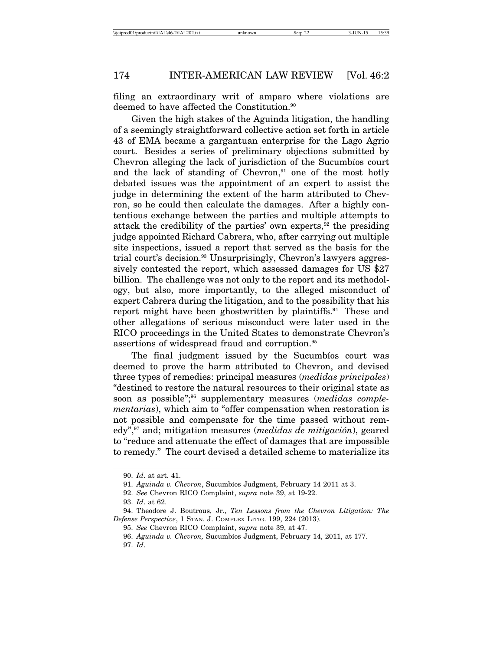filing an extraordinary writ of amparo where violations are deemed to have affected the Constitution.<sup>90</sup>

Given the high stakes of the Aguinda litigation, the handling of a seemingly straightforward collective action set forth in article 43 of EMA became a gargantuan enterprise for the Lago Agrio court. Besides a series of preliminary objections submitted by Chevron alleging the lack of jurisdiction of the Sucumbios court and the lack of standing of Chevron, $91$  one of the most hotly debated issues was the appointment of an expert to assist the judge in determining the extent of the harm attributed to Chevron, so he could then calculate the damages. After a highly contentious exchange between the parties and multiple attempts to attack the credibility of the parties' own experts, $92$  the presiding judge appointed Richard Cabrera, who, after carrying out multiple site inspections, issued a report that served as the basis for the trial court's decision.<sup>93</sup> Unsurprisingly, Chevron's lawyers aggressively contested the report, which assessed damages for US \$27 billion. The challenge was not only to the report and its methodology, but also, more importantly, to the alleged misconduct of expert Cabrera during the litigation, and to the possibility that his report might have been ghostwritten by plaintiffs.<sup>94</sup> These and other allegations of serious misconduct were later used in the RICO proceedings in the United States to demonstrate Chevron's assertions of widespread fraud and corruption.<sup>95</sup>

The final judgment issued by the Sucumbios court was deemed to prove the harm attributed to Chevron, and devised three types of remedies: principal measures (*medidas principales*) "destined to restore the natural resources to their original state as soon as possible";<sup>96</sup> supplementary measures (*medidas complementarias*), which aim to "offer compensation when restoration is not possible and compensate for the time passed without remedy",<sup>97</sup> and; mitigation measures (*medidas de mitigación*), geared to "reduce and attenuate the effect of damages that are impossible to remedy." The court devised a detailed scheme to materialize its

<sup>90.</sup> *Id*. at art. 41.

<sup>91.</sup> Aguinda v. Chevron, Sucumbíos Judgment, February 14 2011 at 3.

<sup>92.</sup> *See* Chevron RICO Complaint, *supra* note 39, at 19-22.

<sup>93.</sup> *Id*. at 62.

<sup>94.</sup> Theodore J. Boutrous, Jr., *Ten Lessons from the Chevron Litigation: The Defense Perspective*, 1 STAN. J. COMPLEX LITIG. 199, 224 (2013).

<sup>95.</sup> *See* Chevron RICO Complaint, *supra* note 39, at 47.

<sup>96.</sup> *Aguinda v. Chevron,* Sucumb´ıos Judgment, February 14, 2011, at 177. 97. *Id*.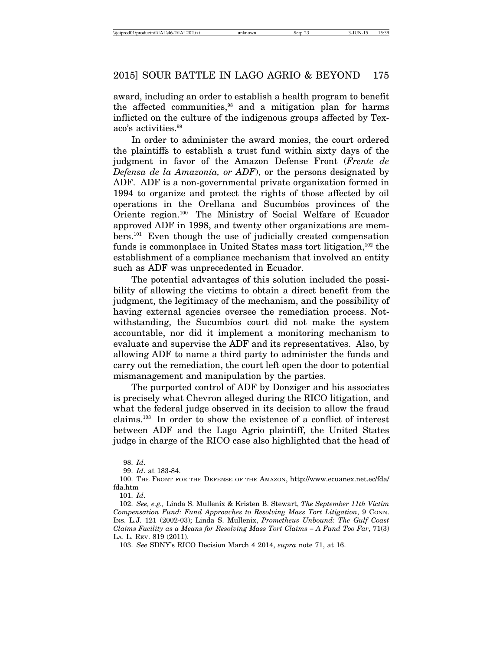award, including an order to establish a health program to benefit the affected communities,<sup>98</sup> and a mitigation plan for harms inflicted on the culture of the indigenous groups affected by Texaco's activities.99

In order to administer the award monies, the court ordered the plaintiffs to establish a trust fund within sixty days of the judgment in favor of the Amazon Defense Front (*Frente de Defensa de la Amazonía, or ADF*), or the persons designated by ADF. ADF is a non-governmental private organization formed in 1994 to organize and protect the rights of those affected by oil operations in the Orellana and Sucumbios provinces of the Oriente region.100 The Ministry of Social Welfare of Ecuador approved ADF in 1998, and twenty other organizations are members.101 Even though the use of judicially created compensation funds is commonplace in United States mass tort litigation,  $102$  the establishment of a compliance mechanism that involved an entity such as ADF was unprecedented in Ecuador.

The potential advantages of this solution included the possibility of allowing the victims to obtain a direct benefit from the judgment, the legitimacy of the mechanism, and the possibility of having external agencies oversee the remediation process. Notwithstanding, the Sucumbios court did not make the system accountable, nor did it implement a monitoring mechanism to evaluate and supervise the ADF and its representatives. Also, by allowing ADF to name a third party to administer the funds and carry out the remediation, the court left open the door to potential mismanagement and manipulation by the parties.

The purported control of ADF by Donziger and his associates is precisely what Chevron alleged during the RICO litigation, and what the federal judge observed in its decision to allow the fraud claims.103 In order to show the existence of a conflict of interest between ADF and the Lago Agrio plaintiff, the United States judge in charge of the RICO case also highlighted that the head of

<sup>98.</sup> *Id*.

<sup>99.</sup> *Id*. at 183-84.

<sup>100.</sup> THE FRONT FOR THE DEFENSE OF THE AMAZON, http://www.ecuanex.net.ec/fda/ fda.htm

<sup>101.</sup> *Id*.

<sup>102.</sup> *See, e.g.,* Linda S. Mullenix & Kristen B. Stewart, *The September 11th Victim Compensation Fund: Fund Approaches to Resolving Mass Tort Litigation*, 9 CONN. INS. L.J. 121 (2002-03); Linda S. Mullenix, *Prometheus Unbound: The Gulf Coast Claims Facility as a Means for Resolving Mass Tort Claims – A Fund Too Far*, 71(3) LA. L. REV. 819 (2011).

<sup>103.</sup> *See* SDNY's RICO Decision March 4 2014, *supra* note 71, at 16.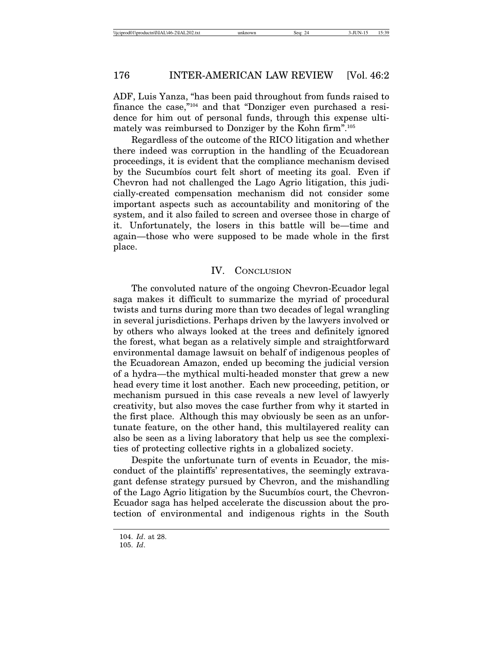ADF, Luis Yanza, "has been paid throughout from funds raised to finance the case,"104 and that "Donziger even purchased a residence for him out of personal funds, through this expense ultimately was reimbursed to Donziger by the Kohn firm".105

Regardless of the outcome of the RICO litigation and whether there indeed was corruption in the handling of the Ecuadorean proceedings, it is evident that the compliance mechanism devised by the Sucumbios court felt short of meeting its goal. Even if Chevron had not challenged the Lago Agrio litigation, this judicially-created compensation mechanism did not consider some important aspects such as accountability and monitoring of the system, and it also failed to screen and oversee those in charge of it. Unfortunately, the losers in this battle will be—time and again—those who were supposed to be made whole in the first place.

#### IV. CONCLUSION

The convoluted nature of the ongoing Chevron-Ecuador legal saga makes it difficult to summarize the myriad of procedural twists and turns during more than two decades of legal wrangling in several jurisdictions. Perhaps driven by the lawyers involved or by others who always looked at the trees and definitely ignored the forest, what began as a relatively simple and straightforward environmental damage lawsuit on behalf of indigenous peoples of the Ecuadorean Amazon, ended up becoming the judicial version of a hydra—the mythical multi-headed monster that grew a new head every time it lost another. Each new proceeding, petition, or mechanism pursued in this case reveals a new level of lawyerly creativity, but also moves the case further from why it started in the first place. Although this may obviously be seen as an unfortunate feature, on the other hand, this multilayered reality can also be seen as a living laboratory that help us see the complexities of protecting collective rights in a globalized society.

Despite the unfortunate turn of events in Ecuador, the misconduct of the plaintiffs' representatives, the seemingly extravagant defense strategy pursued by Chevron, and the mishandling of the Lago Agrio litigation by the Sucumbios court, the Chevron-Ecuador saga has helped accelerate the discussion about the protection of environmental and indigenous rights in the South

<sup>104.</sup> *Id*. at 28.

<sup>105.</sup> *Id*.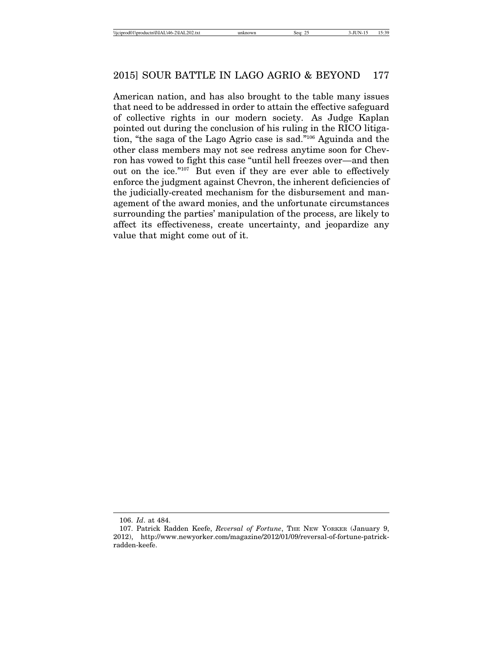American nation, and has also brought to the table many issues that need to be addressed in order to attain the effective safeguard of collective rights in our modern society. As Judge Kaplan pointed out during the conclusion of his ruling in the RICO litigation, "the saga of the Lago Agrio case is sad."106 Aguinda and the other class members may not see redress anytime soon for Chevron has vowed to fight this case "until hell freezes over—and then out on the ice."107 But even if they are ever able to effectively enforce the judgment against Chevron, the inherent deficiencies of the judicially-created mechanism for the disbursement and management of the award monies, and the unfortunate circumstances surrounding the parties' manipulation of the process, are likely to affect its effectiveness, create uncertainty, and jeopardize any value that might come out of it.

<sup>106.</sup> *Id*. at 484.

<sup>107.</sup> Patrick Radden Keefe, *Reversal of Fortune*, THE NEW YORKER (January 9, 2012), http://www.newyorker.com/magazine/2012/01/09/reversal-of-fortune-patrickradden-keefe.